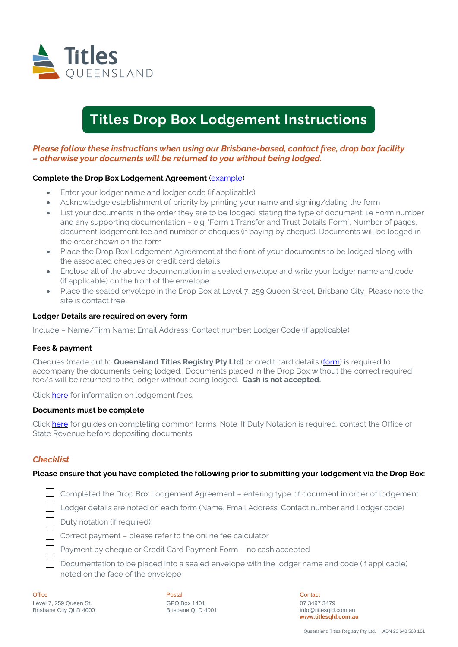

# **Titles Drop Box Lodgement Instructions**

## *Please follow these instructions when using our Brisbane-based, contact free, drop box facility – otherwise your documents will be returned to you without being lodged.*

#### **Complete the Drop Box Lodgement Agreement** [\(example\)](https://www.titlesqld.com.au/wp-content/uploads/2021/05/drop-box-lodgement-agreement-example.pdf)

- Enter your lodger name and lodger code (if applicable)
- Acknowledge establishment of priority by printing your name and signing/dating the form
- List your documents in the order they are to be lodged, stating the type of document: i.e Form number and any supporting documentation – e.g. 'Form 1 Transfer and Trust Details Form', Number of pages, document lodgement fee and number of cheques (if paying by cheque). Documents will be lodged in the order shown on the form
- Place the Drop Box Lodgement Agreement at the front of your documents to be lodged along with the associated cheques or credit card details
- Enclose all of the above documentation in a sealed envelope and write your lodger name and code (if applicable) on the front of the envelope
- Place the sealed envelope in the Drop Box at Level 7, 259 Queen Street, Brisbane City. Please note the site is contact free.

#### **Lodger Details are required on every form**

Include – Name/Firm Name; Email Address; Contact number; Lodger Code (if applicable)

#### **Fees & payment**

Cheques (made out to **Queensland Titles Registry Pty Ltd)** or credit card details [\(form\)](https://www.titlesqld.com.au/wp-content/uploads/2021/05/cc-mail-payment-request.pdf) is required to accompany the documents being lodged. Documents placed in the Drop Box without the correct required fee/s will be returned to the lodger without being lodged. **Cash is not accepted.**

Clic[k here](https://www.titlesqld.com.au/fees-payments/fee-calculator/) for information on lodgement fees.

#### **Documents must be complete**

Click [here](https://www.titlesqld.com.au/manual-guides/guides-to-common-registry-transactions/) for guides on completing common forms. Note: If Duty Notation is required, contact the Office of State Revenue before depositing documents.

### *Checklist*

#### **Please ensure that you have completed the following prior to submitting your lodgement via the Drop Box:**

- Completed the Drop Box Lodgement Agreement entering type of document in order of lodgement
- Lodger details are noted on each form (Name, Email Address, Contact number and Lodger code)
- $\Box$  Duty notation (if required)
- $\Box$  Correct payment please refer to the online fee calculator
- Payment by cheque or Credit Card Payment Form no cash accepted
- $\Box$  Documentation to be placed into a sealed envelope with the lodger name and code (if applicable) noted on the face of the envelope

| Office                 |
|------------------------|
| Level 7, 259 Queen St. |
| Brisbane City QLD 4000 |

Postal GPO Box 1401 Brisbane QLD 4001 **Contact** 07 3497 3479 info@titlesqld.com.au **www.titlesqld.com.au**